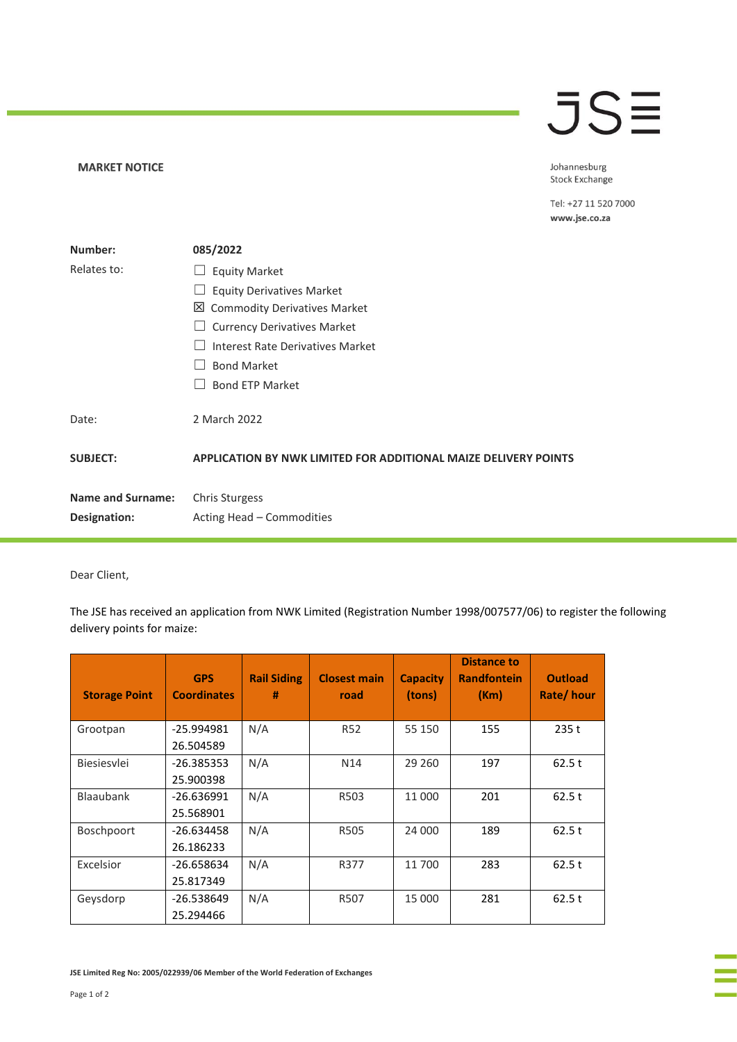## **JSE**

## **MARKET NOTICE**

Johannesburg **Stock Exchange** 

Tel: +27 11 520 7000 www.jse.co.za

| Number:                  | 085/2022                                                               |  |  |  |  |
|--------------------------|------------------------------------------------------------------------|--|--|--|--|
| Relates to:              | <b>Equity Market</b>                                                   |  |  |  |  |
|                          | <b>Equity Derivatives Market</b>                                       |  |  |  |  |
|                          | <b>Commodity Derivatives Market</b><br>⊠                               |  |  |  |  |
|                          | <b>Currency Derivatives Market</b>                                     |  |  |  |  |
|                          | <b>Interest Rate Derivatives Market</b>                                |  |  |  |  |
|                          | <b>Bond Market</b>                                                     |  |  |  |  |
|                          | <b>Bond ETP Market</b>                                                 |  |  |  |  |
| Date:                    | 2 March 2022                                                           |  |  |  |  |
| <b>SUBJECT:</b>          | <b>APPLICATION BY NWK LIMITED FOR ADDITIONAL MAIZE DELIVERY POINTS</b> |  |  |  |  |
| <b>Name and Surname:</b> | <b>Chris Sturgess</b>                                                  |  |  |  |  |
| Designation:             | Acting Head - Commodities                                              |  |  |  |  |

Dear Client,

The JSE has received an application from NWK Limited (Registration Number 1998/007577/06) to register the following delivery points for maize:

| <b>Storage Point</b> | <b>GPS</b><br><b>Coordinates</b> | <b>Rail Siding</b><br># | <b>Closest main</b><br>road | <b>Capacity</b><br>(tons) | <b>Distance to</b><br><b>Randfontein</b><br>(Km) | <b>Outload</b><br>Rate/hour |
|----------------------|----------------------------------|-------------------------|-----------------------------|---------------------------|--------------------------------------------------|-----------------------------|
| Grootpan             | -25.994981<br>26.504589          | N/A                     | <b>R52</b>                  | 55 150                    | 155                                              | 235t                        |
| Biesiesvlei          | $-26.385353$<br>25.900398        | N/A                     | N <sub>14</sub>             | 29 260                    | 197                                              | 62.5t                       |
| <b>Blaaubank</b>     | $-26.636991$<br>25.568901        | N/A                     | R503                        | 11 000                    | 201                                              | 62.5t                       |
| Boschpoort           | $-26.634458$<br>26.186233        | N/A                     | R505                        | 24 000                    | 189                                              | 62.5t                       |
| Excelsior            | $-26.658634$<br>25.817349        | N/A                     | R377                        | 11 700                    | 283                                              | 62.5t                       |
| Geysdorp             | -26.538649<br>25.294466          | N/A                     | R507                        | 15 000                    | 281                                              | 62.5 t                      |